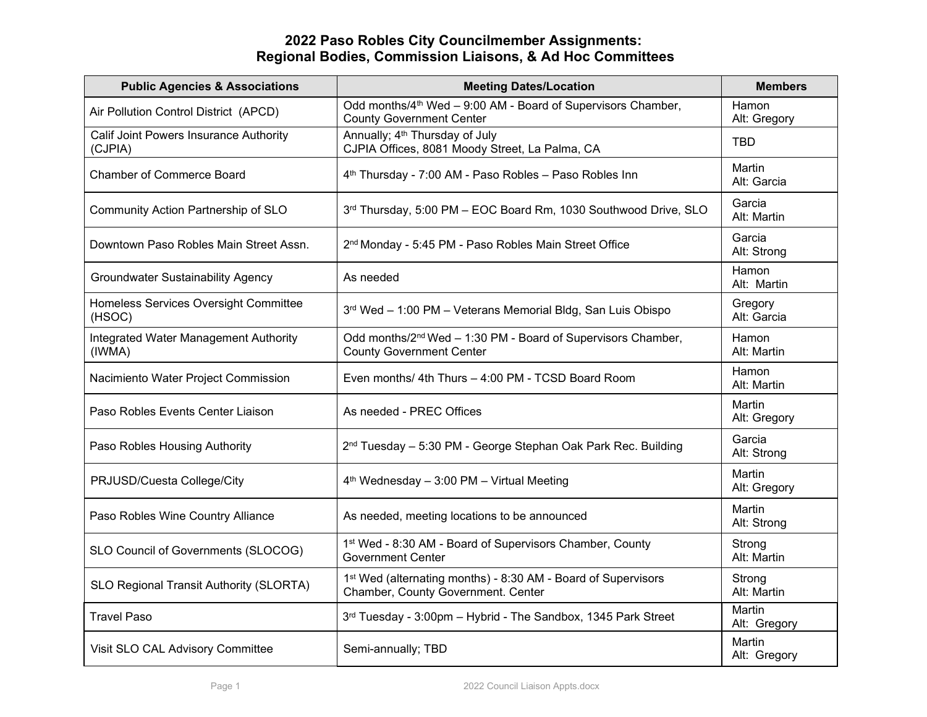## **2022 Paso Robles City Councilmember Assignments: Regional Bodies, Commission Liaisons, & Ad Hoc Committees**

| <b>Public Agencies &amp; Associations</b>                | <b>Meeting Dates/Location</b>                                                                                   | <b>Members</b>         |
|----------------------------------------------------------|-----------------------------------------------------------------------------------------------------------------|------------------------|
| Air Pollution Control District (APCD)                    | Odd months/4 <sup>th</sup> Wed - 9:00 AM - Board of Supervisors Chamber,<br><b>County Government Center</b>     | Hamon<br>Alt: Gregory  |
| <b>Calif Joint Powers Insurance Authority</b><br>(CJPIA) | Annually; 4 <sup>th</sup> Thursday of July<br>CJPIA Offices, 8081 Moody Street, La Palma, CA                    | <b>TBD</b>             |
| <b>Chamber of Commerce Board</b>                         | 4 <sup>th</sup> Thursday - 7:00 AM - Paso Robles - Paso Robles Inn                                              | Martin<br>Alt: Garcia  |
| Community Action Partnership of SLO                      | 3rd Thursday, 5:00 PM - EOC Board Rm, 1030 Southwood Drive, SLO                                                 | Garcia<br>Alt: Martin  |
| Downtown Paso Robles Main Street Assn.                   | 2 <sup>nd</sup> Monday - 5:45 PM - Paso Robles Main Street Office                                               | Garcia<br>Alt: Strong  |
| <b>Groundwater Sustainability Agency</b>                 | As needed                                                                                                       | Hamon<br>Alt: Martin   |
| Homeless Services Oversight Committee<br>(HSOC)          | 3rd Wed - 1:00 PM - Veterans Memorial Bldg, San Luis Obispo                                                     | Gregory<br>Alt: Garcia |
| Integrated Water Management Authority<br>(IWMA)          | Odd months/2 <sup>nd</sup> Wed - 1:30 PM - Board of Supervisors Chamber,<br><b>County Government Center</b>     | Hamon<br>Alt: Martin   |
| Nacimiento Water Project Commission                      | Even months/ 4th Thurs - 4:00 PM - TCSD Board Room                                                              | Hamon<br>Alt: Martin   |
| Paso Robles Events Center Liaison                        | As needed - PREC Offices                                                                                        | Martin<br>Alt: Gregory |
| Paso Robles Housing Authority                            | 2 <sup>nd</sup> Tuesday - 5:30 PM - George Stephan Oak Park Rec. Building                                       | Garcia<br>Alt: Strong  |
| PRJUSD/Cuesta College/City                               | 4 <sup>th</sup> Wednesday - 3:00 PM - Virtual Meeting                                                           | Martin<br>Alt: Gregory |
| Paso Robles Wine Country Alliance                        | As needed, meeting locations to be announced                                                                    | Martin<br>Alt: Strong  |
| SLO Council of Governments (SLOCOG)                      | 1st Wed - 8:30 AM - Board of Supervisors Chamber, County<br><b>Government Center</b>                            | Strong<br>Alt: Martin  |
| SLO Regional Transit Authority (SLORTA)                  | 1 <sup>st</sup> Wed (alternating months) - 8:30 AM - Board of Supervisors<br>Chamber, County Government. Center | Strong<br>Alt: Martin  |
| <b>Travel Paso</b>                                       | 3rd Tuesday - 3:00pm - Hybrid - The Sandbox, 1345 Park Street                                                   | Martin<br>Alt: Gregory |
| Visit SLO CAL Advisory Committee                         | Semi-annually; TBD                                                                                              | Martin<br>Alt: Gregory |